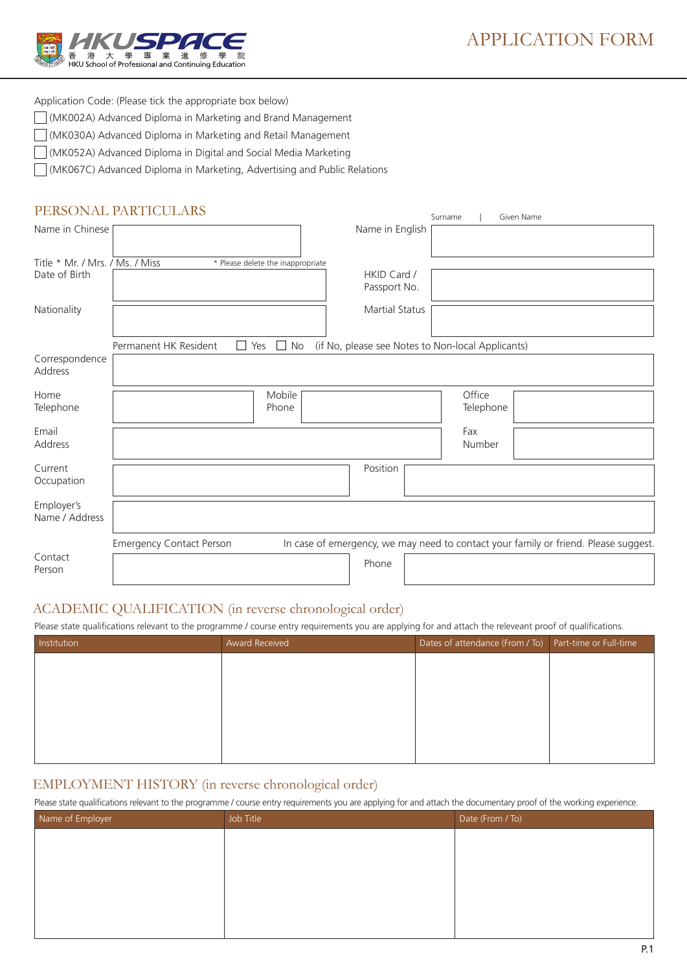

Application Code: (Please tick the appropriate box below)

- (MK002A) Advanced Diploma in Marketing and Brand Management
- (MK030A) Advanced Diploma in Marketing and Retail Management
- (MK052A) Advanced Diploma in Digital and Social Media Marketing

(MK067C) Advanced Diploma in Marketing, Advertising and Public Relations

# PERSONAL PARTICULARS

|                                                  | FERSUNAL FARTIUULARS                             |                                                   | Surname             | Given Name                                                                          |
|--------------------------------------------------|--------------------------------------------------|---------------------------------------------------|---------------------|-------------------------------------------------------------------------------------|
| Name in Chinese                                  |                                                  | Name in English                                   |                     |                                                                                     |
| Title * Mr. / Mrs. / Ms. / Miss<br>Date of Birth | * Please delete the inappropriate                | HKID Card /<br>Passport No.                       |                     |                                                                                     |
| Nationality                                      |                                                  | <b>Martial Status</b>                             |                     |                                                                                     |
| Correspondence<br>Address                        | $\Box$ No<br>Permanent HK Resident<br>$\Box$ Yes | (if No, please see Notes to Non-local Applicants) |                     |                                                                                     |
| Home<br>Telephone                                | Mobile<br>Phone                                  |                                                   | Office<br>Telephone |                                                                                     |
| Email<br>Address                                 |                                                  |                                                   | Fax<br>Number       |                                                                                     |
| Current<br>Occupation                            |                                                  | Position                                          |                     |                                                                                     |
| Employer's<br>Name / Address                     |                                                  |                                                   |                     |                                                                                     |
| Contact<br>Person                                | <b>Emergency Contact Person</b>                  | Phone                                             |                     | In case of emergency, we may need to contact your family or friend. Please suggest. |

# ACADEMIC QUALIFICATION (in reverse chronological order)

Please state qualifications relevant to the programme / course entry requirements you are applying for and attach the releveant proof of qualifications.

| Institution | <b>Award Received</b> | Dates of attendance (From / To) Part-time or Full-time |  |
|-------------|-----------------------|--------------------------------------------------------|--|
|             |                       |                                                        |  |
|             |                       |                                                        |  |
|             |                       |                                                        |  |
|             |                       |                                                        |  |
|             |                       |                                                        |  |
|             |                       |                                                        |  |

# EMPLOYMENT HISTORY (in reverse chronological order)

Please state qualifications relevant to the programme / course entry requirements you are applying for and attach the documentary proof of the working experience.

| $\overline{\phantom{0}}$ | . .<br>$\overline{\phantom{a}}$<br>. | $\overline{\phantom{a}}$<br>$\overline{\phantom{a}}$ |
|--------------------------|--------------------------------------|------------------------------------------------------|
| Name of Employer         | Job Title                            | Date (From / To)                                     |
|                          |                                      |                                                      |
|                          |                                      |                                                      |
|                          |                                      |                                                      |
|                          |                                      |                                                      |
|                          |                                      |                                                      |
|                          |                                      |                                                      |
|                          |                                      |                                                      |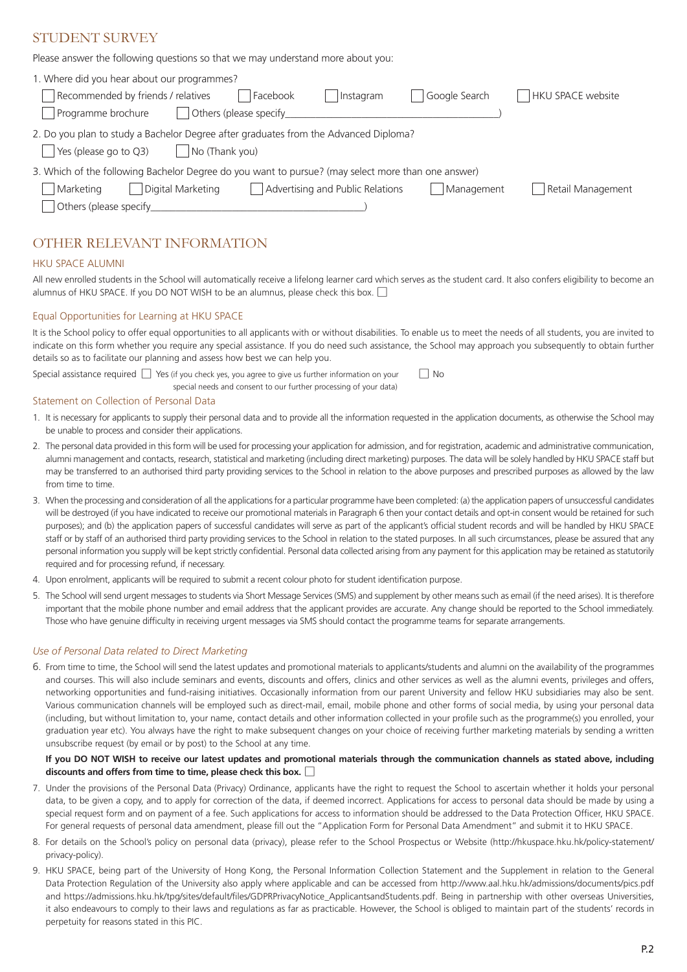# STUDENT SURVEY

Please answer the following questions so that we may understand more about you:

| 1. Where did you hear about our programmes?                                                                                             |                          |  |  |  |  |  |  |
|-----------------------------------------------------------------------------------------------------------------------------------------|--------------------------|--|--|--|--|--|--|
| Recommended by friends / relatives<br>Facebook<br>Google Search<br>Instagram                                                            | <b>HKU SPACE website</b> |  |  |  |  |  |  |
| Others (please specify<br>Programme brochure                                                                                            |                          |  |  |  |  |  |  |
| 2. Do you plan to study a Bachelor Degree after graduates from the Advanced Diploma?<br>Yes (please go to Q3)<br>$\vert$ No (Thank you) |                          |  |  |  |  |  |  |
| 3. Which of the following Bachelor Degree do you want to pursue? (may select more than one answer)                                      |                          |  |  |  |  |  |  |
| Advertising and Public Relations<br>Digital Marketing<br>Management<br>Marketing                                                        | Retail Management        |  |  |  |  |  |  |
|                                                                                                                                         |                          |  |  |  |  |  |  |

# OTHER RELEVANT INFORMATION

# HKU SPACE ALUMNI

All new enrolled students in the School will automatically receive a lifelong learner card which serves as the student card. It also confers eligibility to become an alumnus of HKU SPACE. If you DO NOT WISH to be an alumnus, please check this box.  $\square$ 

# Equal Opportunities for Learning at HKU SPACE

It is the School policy to offer equal opportunities to all applicants with or without disabilities. To enable us to meet the needs of all students, you are invited to indicate on this form whether you require any special assistance. If you do need such assistance, the School may approach you subsequently to obtain further details so as to facilitate our planning and assess how best we can help you.

Special assistance required □ Yes (if you check yes, you agree to give us further information on your special needs and consent to our further processing of your data) □ No

#### Statement on Collection of Personal Data

- 1. It is necessary for applicants to supply their personal data and to provide all the information requested in the application documents, as otherwise the School may be unable to process and consider their applications.
- 2. The personal data provided in this form will be used for processing your application for admission, and for registration, academic and administrative communication, alumni management and contacts, research, statistical and marketing (including direct marketing) purposes. The data will be solely handled by HKU SPACE staff but may be transferred to an authorised third party providing services to the School in relation to the above purposes and prescribed purposes as allowed by the law from time to time.
- 3. When the processing and consideration of all the applications for a particular programme have been completed: (a) the application papers of unsuccessful candidates will be destroyed (if you have indicated to receive our promotional materials in Paragraph 6 then your contact details and opt-in consent would be retained for such purposes); and (b) the application papers of successful candidates will serve as part of the applicant's official student records and will be handled by HKU SPACE staff or by staff of an authorised third party providing services to the School in relation to the stated purposes. In all such circumstances, please be assured that any personal information you supply will be kept strictly confidential. Personal data collected arising from any payment for this application may be retained as statutorily required and for processing refund, if necessary.
- 4. Upon enrolment, applicants will be required to submit a recent colour photo for student identification purpose.
- 5. The School will send urgent messages to students via Short Message Services (SMS) and supplement by other means such as email (if the need arises). It is therefore important that the mobile phone number and email address that the applicant provides are accurate. Any change should be reported to the School immediately. Those who have genuine difficulty in receiving urgent messages via SMS should contact the programme teams for separate arrangements.

## *Use of Personal Data related to Direct Marketing*

6. From time to time, the School will send the latest updates and promotional materials to applicants/students and alumni on the availability of the programmes and courses. This will also include seminars and events, discounts and offers, clinics and other services as well as the alumni events, privileges and offers, networking opportunities and fund-raising initiatives. Occasionally information from our parent University and fellow HKU subsidiaries may also be sent. Various communication channels will be employed such as direct-mail, email, mobile phone and other forms of social media, by using your personal data (including, but without limitation to, your name, contact details and other information collected in your profile such as the programme(s) you enrolled, your graduation year etc). You always have the right to make subsequent changes on your choice of receiving further marketing materials by sending a written unsubscribe request (by email or by post) to the School at any time.

# **If you DO NOT WISH to receive our latest updates and promotional materials through the communication channels as stated above, including discounts and offers from time to time, please check this box.**□

- 7. Under the provisions of the Personal Data (Privacy) Ordinance, applicants have the right to request the School to ascertain whether it holds your personal data, to be given a copy, and to apply for correction of the data, if deemed incorrect. Applications for access to personal data should be made by using a special request form and on payment of a fee. Such applications for access to information should be addressed to the Data Protection Officer, HKU SPACE. For general requests of personal data amendment, please fill out the "Application Form for Personal Data Amendment" and submit it to HKU SPACE.
- 8. For details on the School's policy on personal data (privacy), please refer to the School Prospectus or Website (http://hkuspace.hku.hk/policy-statement/ privacy-policy).
- 9. HKU SPACE, being part of the University of Hong Kong, the Personal Information Collection Statement and the Supplement in relation to the General Data Protection Regulation of the University also apply where applicable and can be accessed from http://www.aal.hku.hk/admissions/documents/pics.pdf and https://admissions.hku.hk/tpg/sites/default/files/GDPRPrivacyNotice\_ApplicantsandStudents.pdf. Being in partnership with other overseas Universities, it also endeavours to comply to their laws and regulations as far as practicable. However, the School is obliged to maintain part of the students' records in perpetuity for reasons stated in this PIC.